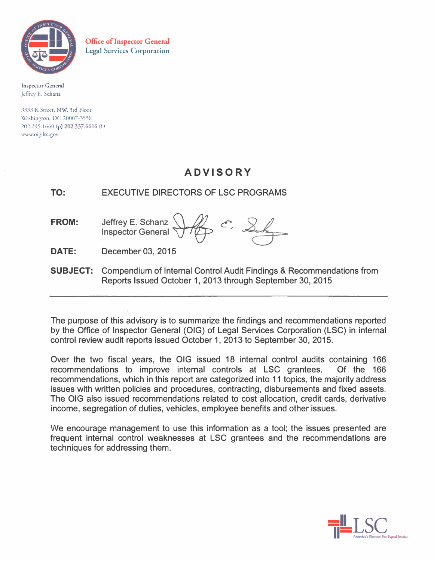

**Office of Inspector General Legal Services Corporation** 

Inspector General Jeffrey E. Schanz

3533 K Street, NW; 3rd Floor Washington, DC 20007-3558 202.295.1660 (p) 202.337.6616 (f) www.oig.lsc.gov

# **ADVISORY**

TO: EXECUTIVE DIRECTORS OF LSC PROGRAMS

**FROM:**  Jeffrey E. Schanz **Inspector General** 

**DATE:**  December 03, 2015

**SUBJECT:** Compendium of Internal Control Audit Findings & Recommendations from Reports Issued October 1, 2013 through September 30, 2015

The purpose of this advisory is to summarize the findings and recommendations reported by the Office of Inspector General (OIG) of Legal Services Corporation (LSC) in internal control review audit reports issued October 1, 2013 to September 30, 2015.

Over the two fiscal years, the OIG issued 18 internal control audits containing 166 recommendations to improve internal controls at LSC grantees. Of the 166 recommendations, which in this report are categorized into 11 topics, the majority address issues with written policies and procedures, contracting, disbursements and fixed assets. The OIG also issued recommendations related to cost allocation, cre�it cards, derivative income, segregation of duties, vehicles, employee benefits and other issues.

We encourage management to use this information as a tool; the issues presented are frequent internal control weaknesses at LSC grantees and the recommendations are techniques for addressing them.

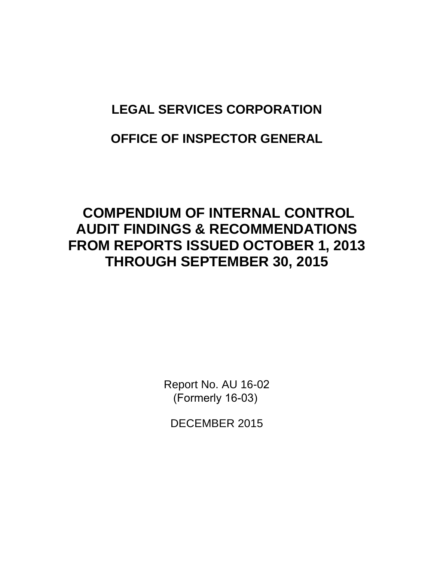# **LEGAL SERVICES CORPORATION**

# **OFFICE OF INSPECTOR GENERAL**

# **COMPENDIUM OF INTERNAL CONTROL AUDIT FINDINGS & RECOMMENDATIONS FROM REPORTS ISSUED OCTOBER 1, 2013 THROUGH SEPTEMBER 30, 2015**

Report No. AU 16-02 (Formerly 16-03)

DECEMBER 2015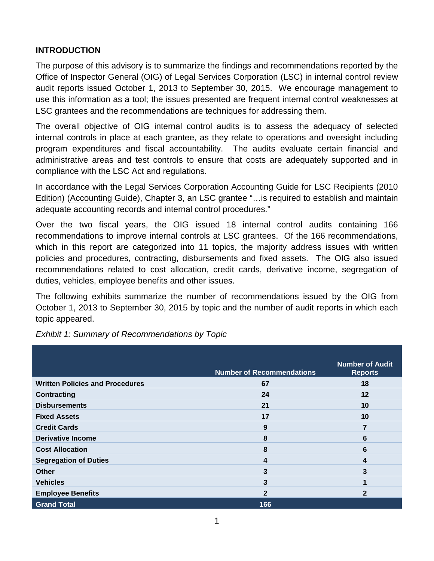# **INTRODUCTION**

The purpose of this advisory is to summarize the findings and recommendations reported by the Office of Inspector General (OIG) of Legal Services Corporation (LSC) in internal control review audit reports issued October 1, 2013 to September 30, 2015. We encourage management to use this information as a tool; the issues presented are frequent internal control weaknesses at LSC grantees and the recommendations are techniques for addressing them.

The overall objective of OIG internal control audits is to assess the adequacy of selected internal controls in place at each grantee, as they relate to operations and oversight including program expenditures and fiscal accountability. The audits evaluate certain financial and administrative areas and test controls to ensure that costs are adequately supported and in compliance with the LSC Act and regulations.

In accordance with the Legal Services Corporation Accounting Guide for LSC Recipients (2010 Edition) (Accounting Guide), Chapter 3, an LSC grantee "…is required to establish and maintain adequate accounting records and internal control procedures."

Over the two fiscal years, the OIG issued 18 internal control audits containing 166 recommendations to improve internal controls at LSC grantees. Of the 166 recommendations, which in this report are categorized into 11 topics, the majority address issues with written policies and procedures, contracting, disbursements and fixed assets. The OIG also issued recommendations related to cost allocation, credit cards, derivative income, segregation of duties, vehicles, employee benefits and other issues.

The following exhibits summarize the number of recommendations issued by the OIG from October 1, 2013 to September 30, 2015 by topic and the number of audit reports in which each topic appeared.

|                                        | <b>Number of Recommendations</b> | <b>Number of Audit</b><br><b>Reports</b> |
|----------------------------------------|----------------------------------|------------------------------------------|
| <b>Written Policies and Procedures</b> | 67                               | 18                                       |
| <b>Contracting</b>                     | 24                               | 12                                       |
| <b>Disbursements</b>                   | 21                               | 10                                       |
| <b>Fixed Assets</b>                    | 17                               | 10                                       |
| <b>Credit Cards</b>                    | 9                                | 7                                        |
| <b>Derivative Income</b>               | 8                                | 6                                        |
| <b>Cost Allocation</b>                 | 8                                | 6                                        |
| <b>Segregation of Duties</b>           | 4                                | 4                                        |
| <b>Other</b>                           | 3                                | 3                                        |
| <b>Vehicles</b>                        | 3                                | 1                                        |
| <b>Employee Benefits</b>               | $\mathbf{2}$                     | $\mathbf{2}$                             |
| <b>Grand Total</b>                     | 166                              |                                          |

*Exhibit 1: Summary of Recommendations by Topic*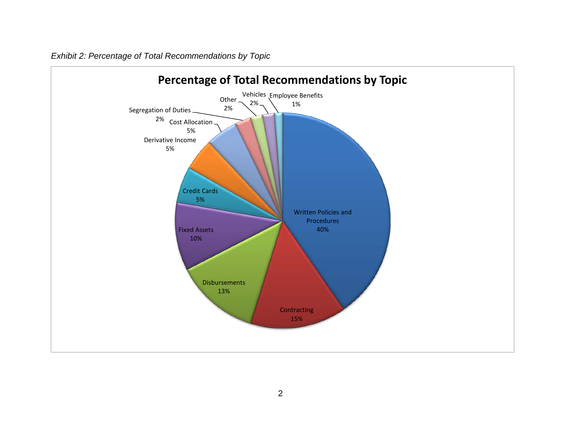

*Exhibit 2: Percentage of Total Recommendations by Topic*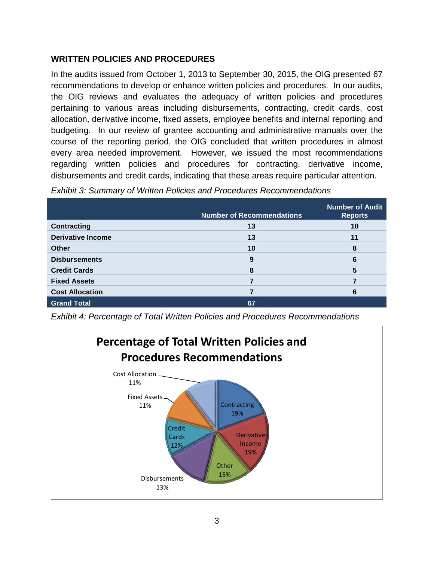#### **WRITTEN POLICIES AND PROCEDURES**

In the audits issued from October 1, 2013 to September 30, 2015, the OIG presented 67 recommendations to develop or enhance written policies and procedures. In our audits, the OIG reviews and evaluates the adequacy of written policies and procedures pertaining to various areas including disbursements, contracting, credit cards, cost allocation, derivative income, fixed assets, employee benefits and internal reporting and budgeting. In our review of grantee accounting and administrative manuals over the course of the reporting period, the OIG concluded that written procedures in almost every area needed improvement. However, we issued the most recommendations regarding written policies and procedures for contracting, derivative income, disbursements and credit cards, indicating that these areas require particular attention.

|                          | <b>Number of Recommendations</b> | <b>Number of Audit</b><br><b>Reports</b> |
|--------------------------|----------------------------------|------------------------------------------|
| <b>Contracting</b>       | 13                               | 10                                       |
| <b>Derivative Income</b> | 13                               | 11                                       |
| <b>Other</b>             | 10                               | 8                                        |
| <b>Disbursements</b>     | 9                                | 6                                        |
| <b>Credit Cards</b>      | 8                                | 5                                        |
| <b>Fixed Assets</b>      |                                  |                                          |
| <b>Cost Allocation</b>   |                                  | 6                                        |
| <b>Grand Total</b>       | 67                               |                                          |

*Exhibit 3: Summary of Written Policies and Procedures Recommendations* 

*Exhibit 4: Percentage of Total Written Policies and Procedures Recommendations*

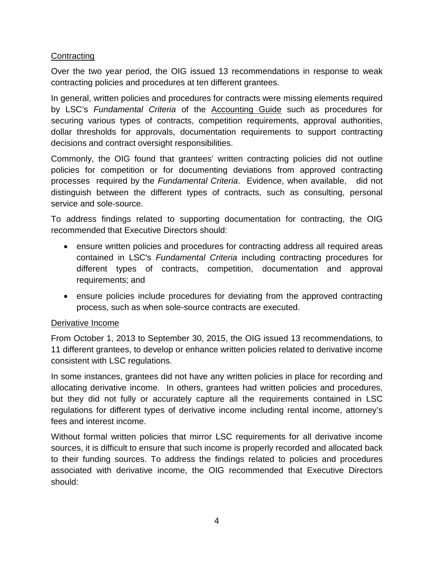#### **Contracting**

Over the two year period, the OIG issued 13 recommendations in response to weak contracting policies and procedures at ten different grantees.

In general, written policies and procedures for contracts were missing elements required by LSC's *Fundamental Criteria* of the Accounting Guide such as procedures for securing various types of contracts, competition requirements, approval authorities, dollar thresholds for approvals, documentation requirements to support contracting decisions and contract oversight responsibilities.

Commonly, the OIG found that grantees' written contracting policies did not outline policies for competition or for documenting deviations from approved contracting processes required by the *Fundamental Criteria*. Evidence, when available, did not distinguish between the different types of contracts, such as consulting, personal service and sole-source.

To address findings related to supporting documentation for contracting, the OIG recommended that Executive Directors should:

- ensure written policies and procedures for contracting address all required areas contained in LSC's *Fundamental Criteria* including contracting procedures for different types of contracts, competition, documentation and approval requirements; and
- ensure policies include procedures for deviating from the approved contracting process, such as when sole-source contracts are executed.

#### Derivative Income

From October 1, 2013 to September 30, 2015, the OIG issued 13 recommendations, to 11 different grantees, to develop or enhance written policies related to derivative income consistent with LSC regulations.

In some instances, grantees did not have any written policies in place for recording and allocating derivative income. In others, grantees had written policies and procedures, but they did not fully or accurately capture all the requirements contained in LSC regulations for different types of derivative income including rental income, attorney's fees and interest income.

Without formal written policies that mirror LSC requirements for all derivative income sources, it is difficult to ensure that such income is properly recorded and allocated back to their funding sources. To address the findings related to policies and procedures associated with derivative income, the OIG recommended that Executive Directors should: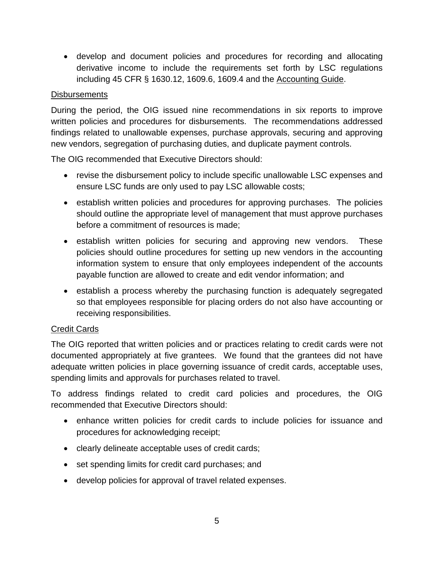• develop and document policies and procedures for recording and allocating derivative income to include the requirements set forth by LSC regulations including 45 CFR § 1630.12, 1609.6, 1609.4 and the Accounting Guide.

#### **Disbursements**

During the period, the OIG issued nine recommendations in six reports to improve written policies and procedures for disbursements. The recommendations addressed findings related to unallowable expenses, purchase approvals, securing and approving new vendors, segregation of purchasing duties, and duplicate payment controls.

The OIG recommended that Executive Directors should:

- revise the disbursement policy to include specific unallowable LSC expenses and ensure LSC funds are only used to pay LSC allowable costs;
- establish written policies and procedures for approving purchases. The policies should outline the appropriate level of management that must approve purchases before a commitment of resources is made;
- establish written policies for securing and approving new vendors. These policies should outline procedures for setting up new vendors in the accounting information system to ensure that only employees independent of the accounts payable function are allowed to create and edit vendor information; and
- establish a process whereby the purchasing function is adequately segregated so that employees responsible for placing orders do not also have accounting or receiving responsibilities.

#### Credit Cards

The OIG reported that written policies and or practices relating to credit cards were not documented appropriately at five grantees. We found that the grantees did not have adequate written policies in place governing issuance of credit cards, acceptable uses, spending limits and approvals for purchases related to travel.

To address findings related to credit card policies and procedures, the OIG recommended that Executive Directors should:

- enhance written policies for credit cards to include policies for issuance and procedures for acknowledging receipt;
- clearly delineate acceptable uses of credit cards;
- set spending limits for credit card purchases; and
- develop policies for approval of travel related expenses.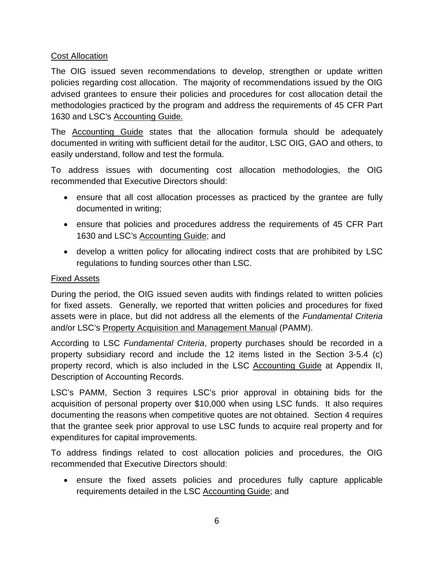#### Cost Allocation

The OIG issued seven recommendations to develop, strengthen or update written policies regarding cost allocation. The majority of recommendations issued by the OIG advised grantees to ensure their policies and procedures for cost allocation detail the methodologies practiced by the program and address the requirements of 45 CFR Part 1630 and LSC's Accounting Guide.

The Accounting Guide states that the allocation formula should be adequately documented in writing with sufficient detail for the auditor, LSC OIG, GAO and others, to easily understand, follow and test the formula.

To address issues with documenting cost allocation methodologies, the OIG recommended that Executive Directors should:

- ensure that all cost allocation processes as practiced by the grantee are fully documented in writing;
- ensure that policies and procedures address the requirements of 45 CFR Part 1630 and LSC's Accounting Guide; and
- develop a written policy for allocating indirect costs that are prohibited by LSC regulations to funding sources other than LSC.

#### Fixed Assets

During the period, the OIG issued seven audits with findings related to written policies for fixed assets. Generally, we reported that written policies and procedures for fixed assets were in place, but did not address all the elements of the *Fundamental Criteria* and/or LSC's Property Acquisition and Management Manual (PAMM).

According to LSC *Fundamental Criteria*, property purchases should be recorded in a property subsidiary record and include the 12 items listed in the Section 3-5.4 (c) property record, which is also included in the LSC Accounting Guide at Appendix II, Description of Accounting Records.

LSC's PAMM, Section 3 requires LSC's prior approval in obtaining bids for the acquisition of personal property over \$10,000 when using LSC funds. It also requires documenting the reasons when competitive quotes are not obtained. Section 4 requires that the grantee seek prior approval to use LSC funds to acquire real property and for expenditures for capital improvements.

To address findings related to cost allocation policies and procedures, the OIG recommended that Executive Directors should:

• ensure the fixed assets policies and procedures fully capture applicable requirements detailed in the LSC Accounting Guide; and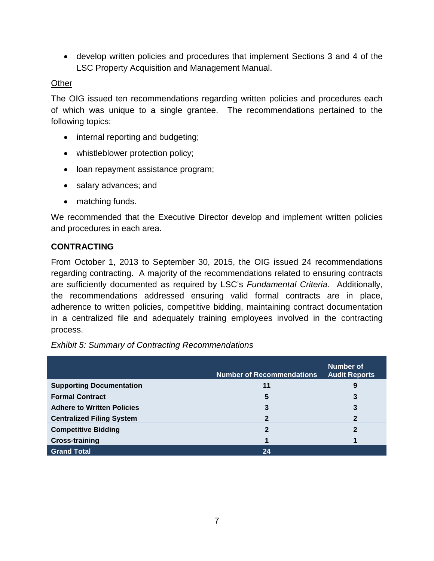• develop written policies and procedures that implement Sections 3 and 4 of the LSC Property Acquisition and Management Manual.

#### **Other**

The OIG issued ten recommendations regarding written policies and procedures each of which was unique to a single grantee. The recommendations pertained to the following topics:

- internal reporting and budgeting;
- whistleblower protection policy;
- loan repayment assistance program;
- salary advances; and
- matching funds.

We recommended that the Executive Director develop and implement written policies and procedures in each area.

#### **CONTRACTING**

From October 1, 2013 to September 30, 2015, the OIG issued 24 recommendations regarding contracting. A majority of the recommendations related to ensuring contracts are sufficiently documented as required by LSC's *Fundamental Criteria*. Additionally, the recommendations addressed ensuring valid formal contracts are in place, adherence to written policies, competitive bidding, maintaining contract documentation in a centralized file and adequately training employees involved in the contracting process.

*Exhibit 5: Summary of Contracting Recommendations* 

|                                   | <b>Number of Recommendations</b> | Number of<br><b>Audit Reports</b> |
|-----------------------------------|----------------------------------|-----------------------------------|
| <b>Supporting Documentation</b>   | 11                               | 9                                 |
| <b>Formal Contract</b>            | 5                                | 3                                 |
| <b>Adhere to Written Policies</b> | 3                                | 3                                 |
| <b>Centralized Filing System</b>  | 2                                | 2                                 |
| <b>Competitive Bidding</b>        | 2                                |                                   |
| <b>Cross-training</b>             |                                  |                                   |
| <b>Grand Total</b>                | 24                               |                                   |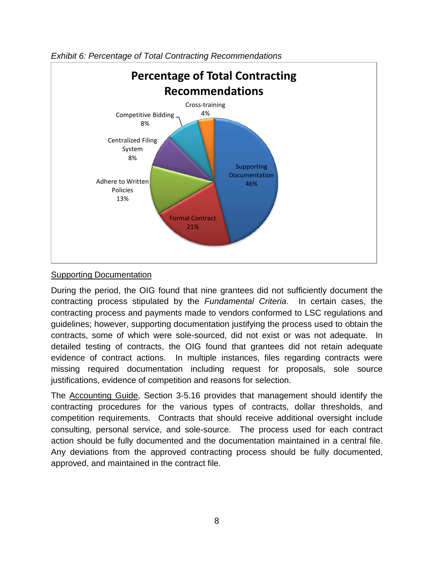

*Exhibit 6: Percentage of Total Contracting Recommendations*

#### Supporting Documentation

During the period, the OIG found that nine grantees did not sufficiently document the contracting process stipulated by the *Fundamental Criteria*. In certain cases, the contracting process and payments made to vendors conformed to LSC regulations and guidelines; however, supporting documentation justifying the process used to obtain the contracts, some of which were sole-sourced, did not exist or was not adequate. In detailed testing of contracts, the OIG found that grantees did not retain adequate evidence of contract actions. In multiple instances, files regarding contracts were missing required documentation including request for proposals, sole source justifications, evidence of competition and reasons for selection.

The Accounting Guide, Section 3-5.16 provides that management should identify the contracting procedures for the various types of contracts, dollar thresholds, and competition requirements. Contracts that should receive additional oversight include consulting, personal service, and sole-source. The process used for each contract action should be fully documented and the documentation maintained in a central file. Any deviations from the approved contracting process should be fully documented, approved, and maintained in the contract file.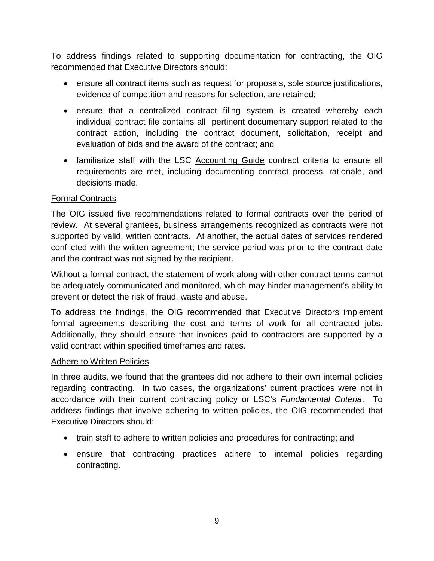To address findings related to supporting documentation for contracting, the OIG recommended that Executive Directors should:

- ensure all contract items such as request for proposals, sole source justifications, evidence of competition and reasons for selection, are retained;
- ensure that a centralized contract filing system is created whereby each individual contract file contains all pertinent documentary support related to the contract action, including the contract document, solicitation, receipt and evaluation of bids and the award of the contract; and
- familiarize staff with the LSC Accounting Guide contract criteria to ensure all requirements are met, including documenting contract process, rationale, and decisions made.

## Formal Contracts

The OIG issued five recommendations related to formal contracts over the period of review. At several grantees, business arrangements recognized as contracts were not supported by valid, written contracts. At another, the actual dates of services rendered conflicted with the written agreement; the service period was prior to the contract date and the contract was not signed by the recipient.

Without a formal contract, the statement of work along with other contract terms cannot be adequately communicated and monitored, which may hinder management's ability to prevent or detect the risk of fraud, waste and abuse.

To address the findings, the OIG recommended that Executive Directors implement formal agreements describing the cost and terms of work for all contracted jobs. Additionally, they should ensure that invoices paid to contractors are supported by a valid contract within specified timeframes and rates.

#### Adhere to Written Policies

In three audits, we found that the grantees did not adhere to their own internal policies regarding contracting. In two cases, the organizations' current practices were not in accordance with their current contracting policy or LSC's *Fundamental Criteria*. To address findings that involve adhering to written policies, the OIG recommended that Executive Directors should:

- train staff to adhere to written policies and procedures for contracting; and
- ensure that contracting practices adhere to internal policies regarding contracting.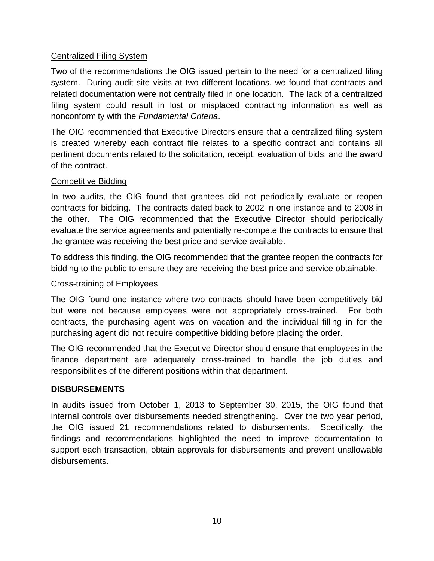#### Centralized Filing System

Two of the recommendations the OIG issued pertain to the need for a centralized filing system. During audit site visits at two different locations, we found that contracts and related documentation were not centrally filed in one location. The lack of a centralized filing system could result in lost or misplaced contracting information as well as nonconformity with the *Fundamental Criteria*.

The OIG recommended that Executive Directors ensure that a centralized filing system is created whereby each contract file relates to a specific contract and contains all pertinent documents related to the solicitation, receipt, evaluation of bids, and the award of the contract.

#### Competitive Bidding

In two audits, the OIG found that grantees did not periodically evaluate or reopen contracts for bidding. The contracts dated back to 2002 in one instance and to 2008 in the other. The OIG recommended that the Executive Director should periodically evaluate the service agreements and potentially re-compete the contracts to ensure that the grantee was receiving the best price and service available.

To address this finding, the OIG recommended that the grantee reopen the contracts for bidding to the public to ensure they are receiving the best price and service obtainable.

#### Cross-training of Employees

The OIG found one instance where two contracts should have been competitively bid but were not because employees were not appropriately cross-trained. For both contracts, the purchasing agent was on vacation and the individual filling in for the purchasing agent did not require competitive bidding before placing the order.

The OIG recommended that the Executive Director should ensure that employees in the finance department are adequately cross-trained to handle the job duties and responsibilities of the different positions within that department.

#### **DISBURSEMENTS**

In audits issued from October 1, 2013 to September 30, 2015, the OIG found that internal controls over disbursements needed strengthening. Over the two year period, the OIG issued 21 recommendations related to disbursements. Specifically, the findings and recommendations highlighted the need to improve documentation to support each transaction, obtain approvals for disbursements and prevent unallowable disbursements.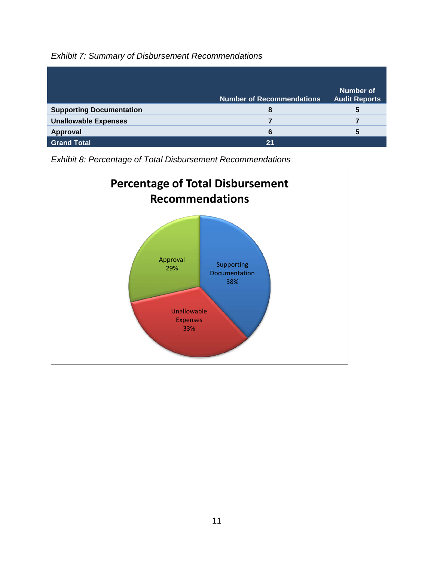# *Exhibit 7: Summary of Disbursement Recommendations*

|                                 | <b>Number of Recommendations</b> | <b>Number of</b><br><b>Audit Reports</b> |
|---------------------------------|----------------------------------|------------------------------------------|
| <b>Supporting Documentation</b> | 8                                | 5                                        |
| <b>Unallowable Expenses</b>     |                                  |                                          |
| Approval                        | 6                                | 5                                        |
| <b>Grand Total</b>              | 21                               |                                          |

*Exhibit 8: Percentage of Total Disbursement Recommendations* 

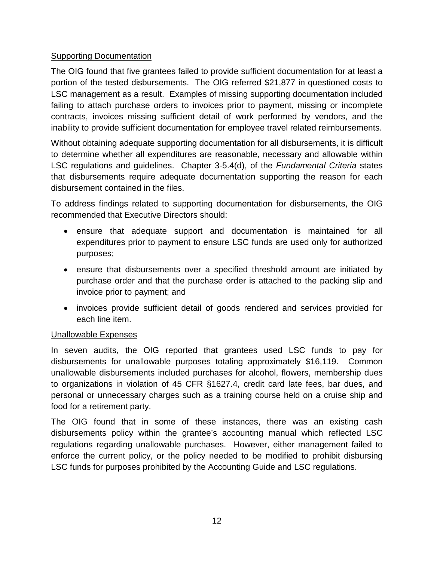#### Supporting Documentation

The OIG found that five grantees failed to provide sufficient documentation for at least a portion of the tested disbursements. The OIG referred \$21,877 in questioned costs to LSC management as a result. Examples of missing supporting documentation included failing to attach purchase orders to invoices prior to payment, missing or incomplete contracts, invoices missing sufficient detail of work performed by vendors, and the inability to provide sufficient documentation for employee travel related reimbursements.

Without obtaining adequate supporting documentation for all disbursements, it is difficult to determine whether all expenditures are reasonable, necessary and allowable within LSC regulations and guidelines. Chapter 3-5.4(d), of the *Fundamental Criteria* states that disbursements require adequate documentation supporting the reason for each disbursement contained in the files.

To address findings related to supporting documentation for disbursements, the OIG recommended that Executive Directors should:

- ensure that adequate support and documentation is maintained for all expenditures prior to payment to ensure LSC funds are used only for authorized purposes;
- ensure that disbursements over a specified threshold amount are initiated by purchase order and that the purchase order is attached to the packing slip and invoice prior to payment; and
- invoices provide sufficient detail of goods rendered and services provided for each line item.

# Unallowable Expenses

In seven audits, the OIG reported that grantees used LSC funds to pay for disbursements for unallowable purposes totaling approximately \$16,119. Common unallowable disbursements included purchases for alcohol, flowers, membership dues to organizations in violation of 45 CFR §1627.4, credit card late fees, bar dues, and personal or unnecessary charges such as a training course held on a cruise ship and food for a retirement party.

The OIG found that in some of these instances, there was an existing cash disbursements policy within the grantee's accounting manual which reflected LSC regulations regarding unallowable purchases. However, either management failed to enforce the current policy, or the policy needed to be modified to prohibit disbursing LSC funds for purposes prohibited by the Accounting Guide and LSC regulations.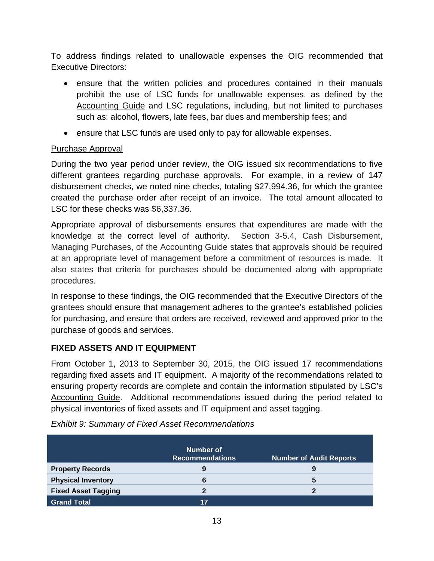To address findings related to unallowable expenses the OIG recommended that Executive Directors:

- ensure that the written policies and procedures contained in their manuals prohibit the use of LSC funds for unallowable expenses, as defined by the Accounting Guide and LSC regulations, including, but not limited to purchases such as: alcohol, flowers, late fees, bar dues and membership fees; and
- ensure that LSC funds are used only to pay for allowable expenses.

## Purchase Approval

During the two year period under review, the OIG issued six recommendations to five different grantees regarding purchase approvals. For example, in a review of 147 disbursement checks, we noted nine checks, totaling \$27,994.36, for which the grantee created the purchase order after receipt of an invoice. The total amount allocated to LSC for these checks was \$6,337.36.

Appropriate approval of disbursements ensures that expenditures are made with the knowledge at the correct level of authority. Section 3-5.4, Cash Disbursement, Managing Purchases, of the Accounting Guide states that approvals should be required at an appropriate level of management before a commitment of resources is made. It also states that criteria for purchases should be documented along with appropriate procedures.

In response to these findings, the OIG recommended that the Executive Directors of the grantees should ensure that management adheres to the grantee's established policies for purchasing, and ensure that orders are received, reviewed and approved prior to the purchase of goods and services.

# **FIXED ASSETS AND IT EQUIPMENT**

From October 1, 2013 to September 30, 2015, the OIG issued 17 recommendations regarding fixed assets and IT equipment. A majority of the recommendations related to ensuring property records are complete and contain the information stipulated by LSC's Accounting Guide. Additional recommendations issued during the period related to physical inventories of fixed assets and IT equipment and asset tagging.

|                            | Number of<br><b>Recommendations</b> | <b>Number of Audit Reports</b> |
|----------------------------|-------------------------------------|--------------------------------|
| <b>Property Records</b>    | 9                                   | 9                              |
| <b>Physical Inventory</b>  | 6                                   | 5                              |
| <b>Fixed Asset Tagging</b> |                                     |                                |
| <b>Grand Total</b>         | 17                                  |                                |

|  |  |  | <b>Exhibit 9: Summary of Fixed Asset Recommendations</b> |
|--|--|--|----------------------------------------------------------|
|--|--|--|----------------------------------------------------------|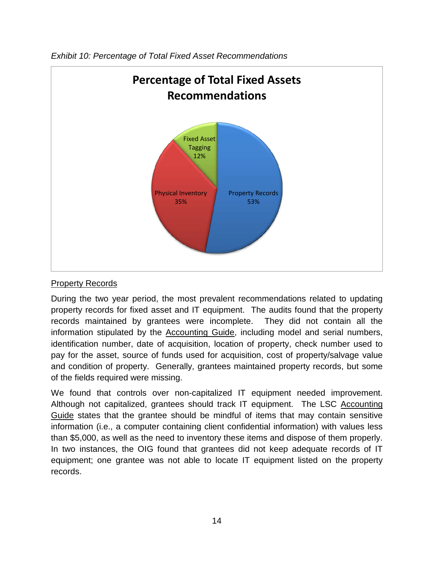

*Exhibit 10: Percentage of Total Fixed Asset Recommendations* 

#### **Property Records**

During the two year period, the most prevalent recommendations related to updating property records for fixed asset and IT equipment. The audits found that the property records maintained by grantees were incomplete. They did not contain all the information stipulated by the **Accounting Guide**, including model and serial numbers, identification number, date of acquisition, location of property, check number used to pay for the asset, source of funds used for acquisition, cost of property/salvage value and condition of property. Generally, grantees maintained property records, but some of the fields required were missing.

We found that controls over non-capitalized IT equipment needed improvement. Although not capitalized, grantees should track IT equipment. The LSC Accounting Guide states that the grantee should be mindful of items that may contain sensitive information (i.e., a computer containing client confidential information) with values less than \$5,000, as well as the need to inventory these items and dispose of them properly. In two instances, the OIG found that grantees did not keep adequate records of IT equipment; one grantee was not able to locate IT equipment listed on the property records.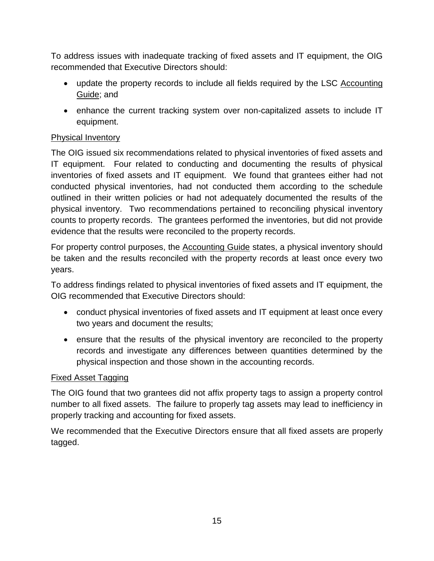To address issues with inadequate tracking of fixed assets and IT equipment, the OIG recommended that Executive Directors should:

- update the property records to include all fields required by the LSC Accounting Guide; and
- enhance the current tracking system over non-capitalized assets to include IT equipment.

# Physical Inventory

The OIG issued six recommendations related to physical inventories of fixed assets and IT equipment. Four related to conducting and documenting the results of physical inventories of fixed assets and IT equipment. We found that grantees either had not conducted physical inventories, had not conducted them according to the schedule outlined in their written policies or had not adequately documented the results of the physical inventory. Two recommendations pertained to reconciling physical inventory counts to property records. The grantees performed the inventories, but did not provide evidence that the results were reconciled to the property records.

For property control purposes, the Accounting Guide states, a physical inventory should be taken and the results reconciled with the property records at least once every two years.

To address findings related to physical inventories of fixed assets and IT equipment, the OIG recommended that Executive Directors should:

- conduct physical inventories of fixed assets and IT equipment at least once every two years and document the results;
- ensure that the results of the physical inventory are reconciled to the property records and investigate any differences between quantities determined by the physical inspection and those shown in the accounting records.

#### Fixed Asset Tagging

The OIG found that two grantees did not affix property tags to assign a property control number to all fixed assets. The failure to properly tag assets may lead to inefficiency in properly tracking and accounting for fixed assets.

We recommended that the Executive Directors ensure that all fixed assets are properly tagged.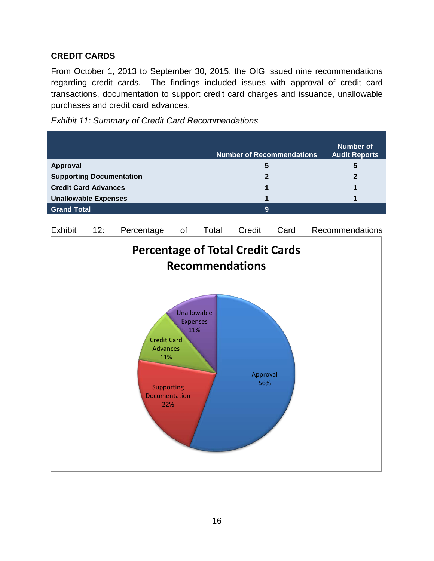#### **CREDIT CARDS**

From October 1, 2013 to September 30, 2015, the OIG issued nine recommendations regarding credit cards. The findings included issues with approval of credit card transactions, documentation to support credit card charges and issuance, unallowable purchases and credit card advances.



|                                 |                                                                                                  |                                              |       | <b>Number of Recommendations</b> |      | <b>Number of</b><br><b>Audit Reports</b> |
|---------------------------------|--------------------------------------------------------------------------------------------------|----------------------------------------------|-------|----------------------------------|------|------------------------------------------|
| <b>Approval</b>                 |                                                                                                  |                                              |       | 5                                |      | 5                                        |
| <b>Supporting Documentation</b> |                                                                                                  |                                              |       | $\overline{2}$                   |      | $\overline{2}$                           |
| <b>Credit Card Advances</b>     |                                                                                                  |                                              |       | 1                                |      | 1                                        |
| <b>Unallowable Expenses</b>     |                                                                                                  |                                              |       | $\overline{\mathbf{1}}$          |      | 1                                        |
| <b>Grand Total</b>              |                                                                                                  |                                              |       | 9                                |      |                                          |
| 12:<br><b>Exhibit</b>           | Percentage                                                                                       | of                                           | Total | Credit                           | Card | Recommendations                          |
|                                 | <b>Percentage of Total Credit Cards</b>                                                          |                                              |       |                                  |      |                                          |
|                                 |                                                                                                  |                                              |       | <b>Recommendations</b>           |      |                                          |
|                                 | <b>Credit Card</b><br><b>Advances</b><br>11%<br><b>Supporting</b><br><b>Documentation</b><br>22% | <b>Unallowable</b><br><b>Expenses</b><br>11% |       | Approval<br>56%                  |      |                                          |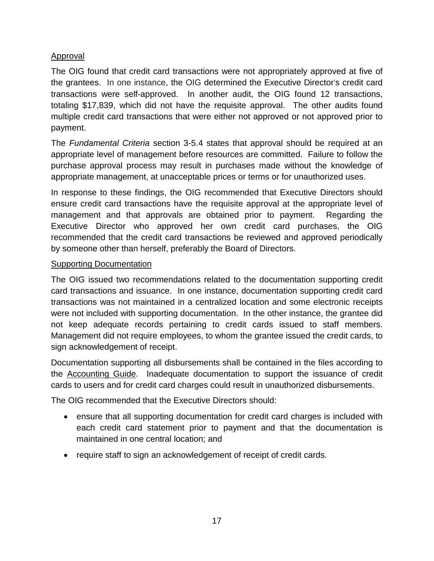## Approval

The OIG found that credit card transactions were not appropriately approved at five of the grantees. In one instance, the OIG determined the Executive Director's credit card transactions were self-approved. In another audit, the OIG found 12 transactions, totaling \$17,839, which did not have the requisite approval. The other audits found multiple credit card transactions that were either not approved or not approved prior to payment.

The *Fundamental Criteria* section 3-5.4 states that approval should be required at an appropriate level of management before resources are committed. Failure to follow the purchase approval process may result in purchases made without the knowledge of appropriate management, at unacceptable prices or terms or for unauthorized uses.

In response to these findings, the OIG recommended that Executive Directors should ensure credit card transactions have the requisite approval at the appropriate level of management and that approvals are obtained prior to payment. Regarding the Executive Director who approved her own credit card purchases, the OIG recommended that the credit card transactions be reviewed and approved periodically by someone other than herself, preferably the Board of Directors.

#### **Supporting Documentation**

The OIG issued two recommendations related to the documentation supporting credit card transactions and issuance. In one instance, documentation supporting credit card transactions was not maintained in a centralized location and some electronic receipts were not included with supporting documentation. In the other instance, the grantee did not keep adequate records pertaining to credit cards issued to staff members. Management did not require employees, to whom the grantee issued the credit cards, to sign acknowledgement of receipt.

Documentation supporting all disbursements shall be contained in the files according to the Accounting Guide. Inadequate documentation to support the issuance of credit cards to users and for credit card charges could result in unauthorized disbursements.

The OIG recommended that the Executive Directors should:

- ensure that all supporting documentation for credit card charges is included with each credit card statement prior to payment and that the documentation is maintained in one central location; and
- require staff to sign an acknowledgement of receipt of credit cards.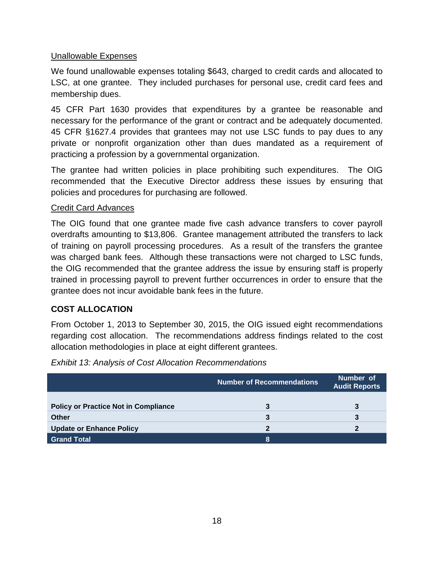#### Unallowable Expenses

We found unallowable expenses totaling \$643, charged to credit cards and allocated to LSC, at one grantee. They included purchases for personal use, credit card fees and membership dues.

45 CFR Part 1630 provides that expenditures by a grantee be reasonable and necessary for the performance of the grant or contract and be adequately documented. 45 CFR §1627.4 provides that grantees may not use LSC funds to pay dues to any private or nonprofit organization other than dues mandated as a requirement of practicing a profession by a governmental organization.

The grantee had written policies in place prohibiting such expenditures. The OIG recommended that the Executive Director address these issues by ensuring that policies and procedures for purchasing are followed.

#### Credit Card Advances

The OIG found that one grantee made five cash advance transfers to cover payroll overdrafts amounting to \$13,806. Grantee management attributed the transfers to lack of training on payroll processing procedures. As a result of the transfers the grantee was charged bank fees. Although these transactions were not charged to LSC funds, the OIG recommended that the grantee address the issue by ensuring staff is properly trained in processing payroll to prevent further occurrences in order to ensure that the grantee does not incur avoidable bank fees in the future.

#### **COST ALLOCATION**

From October 1, 2013 to September 30, 2015, the OIG issued eight recommendations regarding cost allocation. The recommendations address findings related to the cost allocation methodologies in place at eight different grantees.

*Exhibit 13: Analysis of Cost Allocation Recommendations* 

|                                             | <b>Number of Recommendations</b> | Number of<br><b>Audit Reports</b> |
|---------------------------------------------|----------------------------------|-----------------------------------|
| <b>Policy or Practice Not in Compliance</b> | 3                                |                                   |
| <b>Other</b>                                | 3                                |                                   |
| <b>Update or Enhance Policy</b>             | 2                                |                                   |
| <b>Grand Total</b>                          | Β.                               |                                   |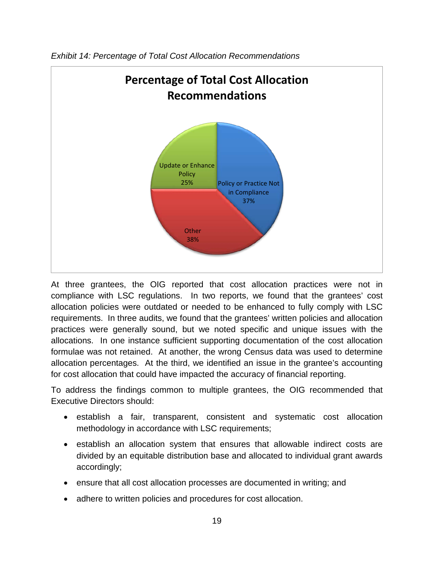

*Exhibit 14: Percentage of Total Cost Allocation Recommendations*

At three grantees, the OIG reported that cost allocation practices were not in compliance with LSC regulations. In two reports, we found that the grantees' cost allocation policies were outdated or needed to be enhanced to fully comply with LSC requirements. In three audits, we found that the grantees' written policies and allocation practices were generally sound, but we noted specific and unique issues with the allocations. In one instance sufficient supporting documentation of the cost allocation formulae was not retained. At another, the wrong Census data was used to determine allocation percentages. At the third, we identified an issue in the grantee's accounting for cost allocation that could have impacted the accuracy of financial reporting.

To address the findings common to multiple grantees, the OIG recommended that Executive Directors should:

- establish a fair, transparent, consistent and systematic cost allocation methodology in accordance with LSC requirements;
- establish an allocation system that ensures that allowable indirect costs are divided by an equitable distribution base and allocated to individual grant awards accordingly;
- ensure that all cost allocation processes are documented in writing; and
- adhere to written policies and procedures for cost allocation.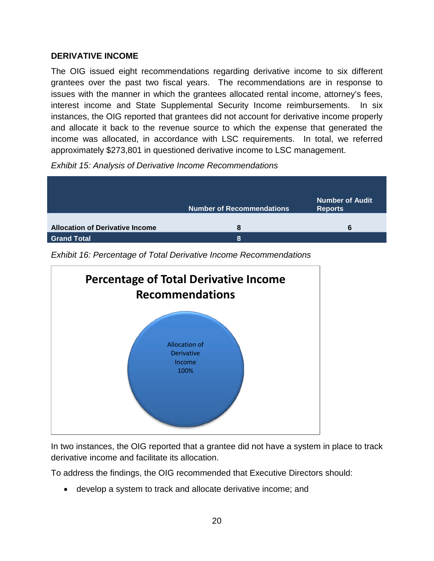#### **DERIVATIVE INCOME**

The OIG issued eight recommendations regarding derivative income to six different grantees over the past two fiscal years. The recommendations are in response to issues with the manner in which the grantees allocated rental income, attorney's fees, interest income and State Supplemental Security Income reimbursements. In six instances, the OIG reported that grantees did not account for derivative income properly and allocate it back to the revenue source to which the expense that generated the income was allocated, in accordance with LSC requirements. In total, we referred approximately \$273,801 in questioned derivative income to LSC management.

*Exhibit 15: Analysis of Derivative Income Recommendations* 

|                                        | <b>Number of Recommendations</b> | Number of Audit<br><b>Reports</b> |
|----------------------------------------|----------------------------------|-----------------------------------|
| <b>Allocation of Derivative Income</b> | 8                                | 6                                 |
| <b>Grand Total</b>                     | 8                                |                                   |

*Exhibit 16: Percentage of Total Derivative Income Recommendations*



In two instances, the OIG reported that a grantee did not have a system in place to track derivative income and facilitate its allocation.

To address the findings, the OIG recommended that Executive Directors should:

• develop a system to track and allocate derivative income; and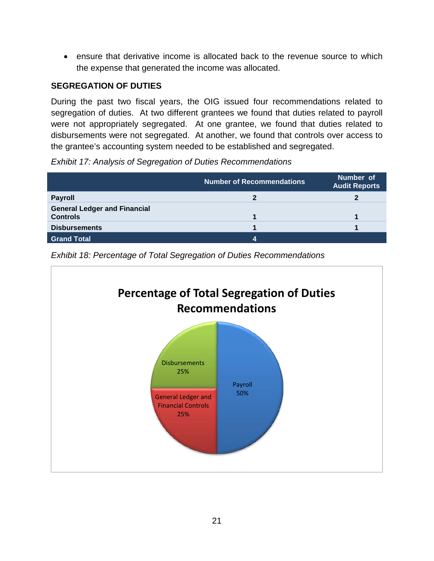• ensure that derivative income is allocated back to the revenue source to which the expense that generated the income was allocated.

## **SEGREGATION OF DUTIES**

During the past two fiscal years, the OIG issued four recommendations related to segregation of duties. At two different grantees we found that duties related to payroll were not appropriately segregated. At one grantee, we found that duties related to disbursements were not segregated. At another, we found that controls over access to the grantee's accounting system needed to be established and segregated.

*Exhibit 17: Analysis of Segregation of Duties Recommendations*

|                                                        | <b>Number of Recommendations</b> | Number of<br><b>Audit Reports</b> |
|--------------------------------------------------------|----------------------------------|-----------------------------------|
| <b>Payroll</b>                                         |                                  |                                   |
| <b>General Ledger and Financial</b><br><b>Controls</b> |                                  |                                   |
| <b>Disbursements</b>                                   |                                  |                                   |
| <b>Grand Total</b>                                     | 4                                |                                   |

*Exhibit 18: Percentage of Total Segregation of Duties Recommendations*

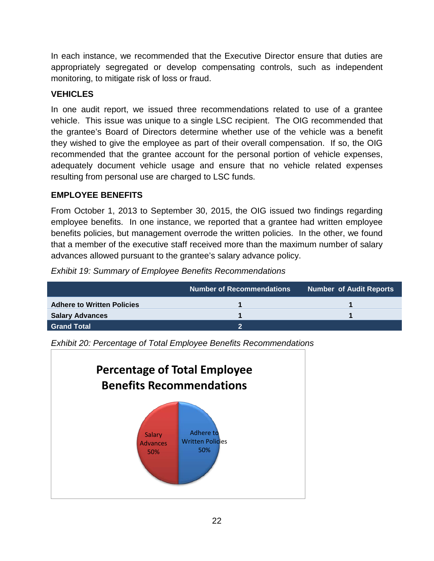In each instance, we recommended that the Executive Director ensure that duties are appropriately segregated or develop compensating controls, such as independent monitoring, to mitigate risk of loss or fraud.

# **VEHICLES**

In one audit report, we issued three recommendations related to use of a grantee vehicle. This issue was unique to a single LSC recipient. The OIG recommended that the grantee's Board of Directors determine whether use of the vehicle was a benefit they wished to give the employee as part of their overall compensation. If so, the OIG recommended that the grantee account for the personal portion of vehicle expenses, adequately document vehicle usage and ensure that no vehicle related expenses resulting from personal use are charged to LSC funds.

# **EMPLOYEE BENEFITS**

From October 1, 2013 to September 30, 2015, the OIG issued two findings regarding employee benefits. In one instance, we reported that a grantee had written employee benefits policies, but management overrode the written policies. In the other, we found that a member of the executive staff received more than the maximum number of salary advances allowed pursuant to the grantee's salary advance policy.

*Exhibit 19: Summary of Employee Benefits Recommendations*

|                                   | <b>Number of Recommendations</b> | <b>Number of Audit Reports</b> |
|-----------------------------------|----------------------------------|--------------------------------|
| <b>Adhere to Written Policies</b> |                                  |                                |
| <b>Salary Advances</b>            |                                  |                                |
| Grand Total                       | э                                |                                |

*Exhibit 20: Percentage of Total Employee Benefits Recommendations*